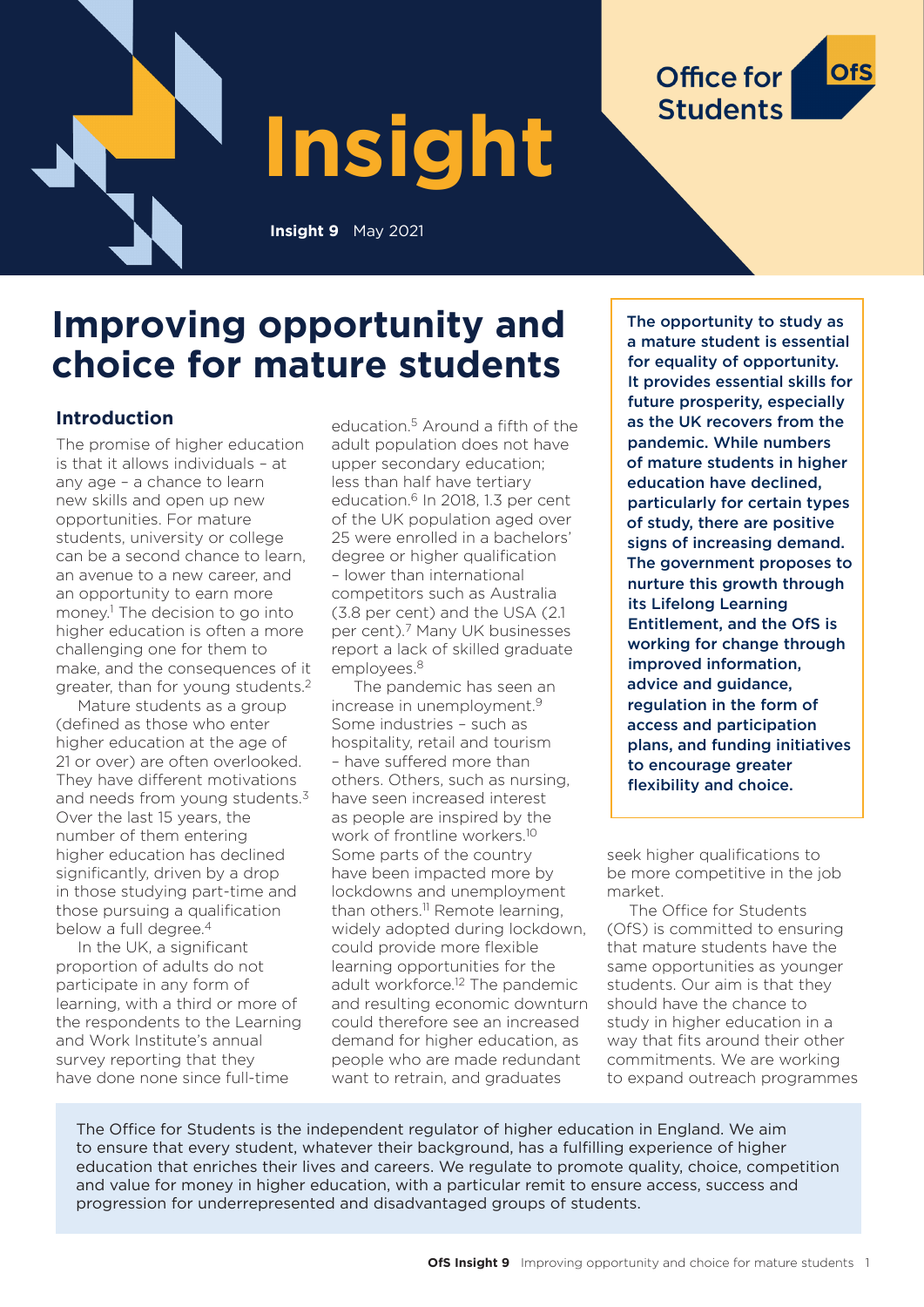

# **Improving opportunity and choice for mature students**

# **Introduction**

The promise of higher education is that it allows individuals – at any age – a chance to learn new skills and open up new opportunities. For mature students, university or college can be a second chance to learn, an avenue to a new career, and an opportunity to earn more money.1 The decision to go into higher education is often a more challenging one for them to make, and the consequences of it greater, than for young students.2

Mature students as a group (defined as those who enter higher education at the age of 21 or over) are often overlooked. They have different motivations and needs from young students.<sup>3</sup> Over the last 15 years, the number of them entering higher education has declined significantly, driven by a drop in those studying part-time and those pursuing a qualification below a full degree.<sup>4</sup>

In the UK, a significant proportion of adults do not participate in any form of learning, with a third or more of the respondents to the Learning and Work Institute's annual survey reporting that they have done none since full-time

education.5 Around a fifth of the adult population does not have upper secondary education; less than half have tertiary education.<sup>6</sup> In 2018, 1.3 per cent of the UK population aged over 25 were enrolled in a bachelors' degree or higher qualification – lower than international competitors such as Australia (3.8 per cent) and the USA (2.1 per cent).7 Many UK businesses report a lack of skilled graduate employees.8

The pandemic has seen an increase in unemployment.9 Some industries – such as hospitality, retail and tourism – have suffered more than others. Others, such as nursing, have seen increased interest as people are inspired by the work of frontline workers.10 Some parts of the country have been impacted more by lockdowns and unemployment than others.11 Remote learning, widely adopted during lockdown, could provide more flexible learning opportunities for the adult workforce.<sup>12</sup> The pandemic and resulting economic downturn could therefore see an increased demand for higher education, as people who are made redundant want to retrain, and graduates

The opportunity to study as a mature student is essential for equality of opportunity. It provides essential skills for future prosperity, especially as the UK recovers from the pandemic. While numbers of mature students in higher education have declined, particularly for certain types of study, there are positive signs of increasing demand. The government proposes to nurture this growth through its Lifelong Learning Entitlement, and the OfS is working for change through improved information, advice and guidance, regulation in the form of access and participation plans, and funding initiatives to encourage greater flexibility and choice.

**Office for** 

**Students** 

seek higher qualifications to be more competitive in the job market.

The Office for Students (OfS) is committed to ensuring that mature students have the same opportunities as younger students. Our aim is that they should have the chance to study in higher education in a way that fits around their other commitments. We are working to expand outreach programmes

The Office for Students is the independent regulator of higher education in England. We aim to ensure that every student, whatever their background, has a fulfilling experience of higher education that enriches their lives and careers. We regulate to promote quality, choice, competition and value for money in higher education, with a particular remit to ensure access, success and progression for underrepresented and disadvantaged groups of students.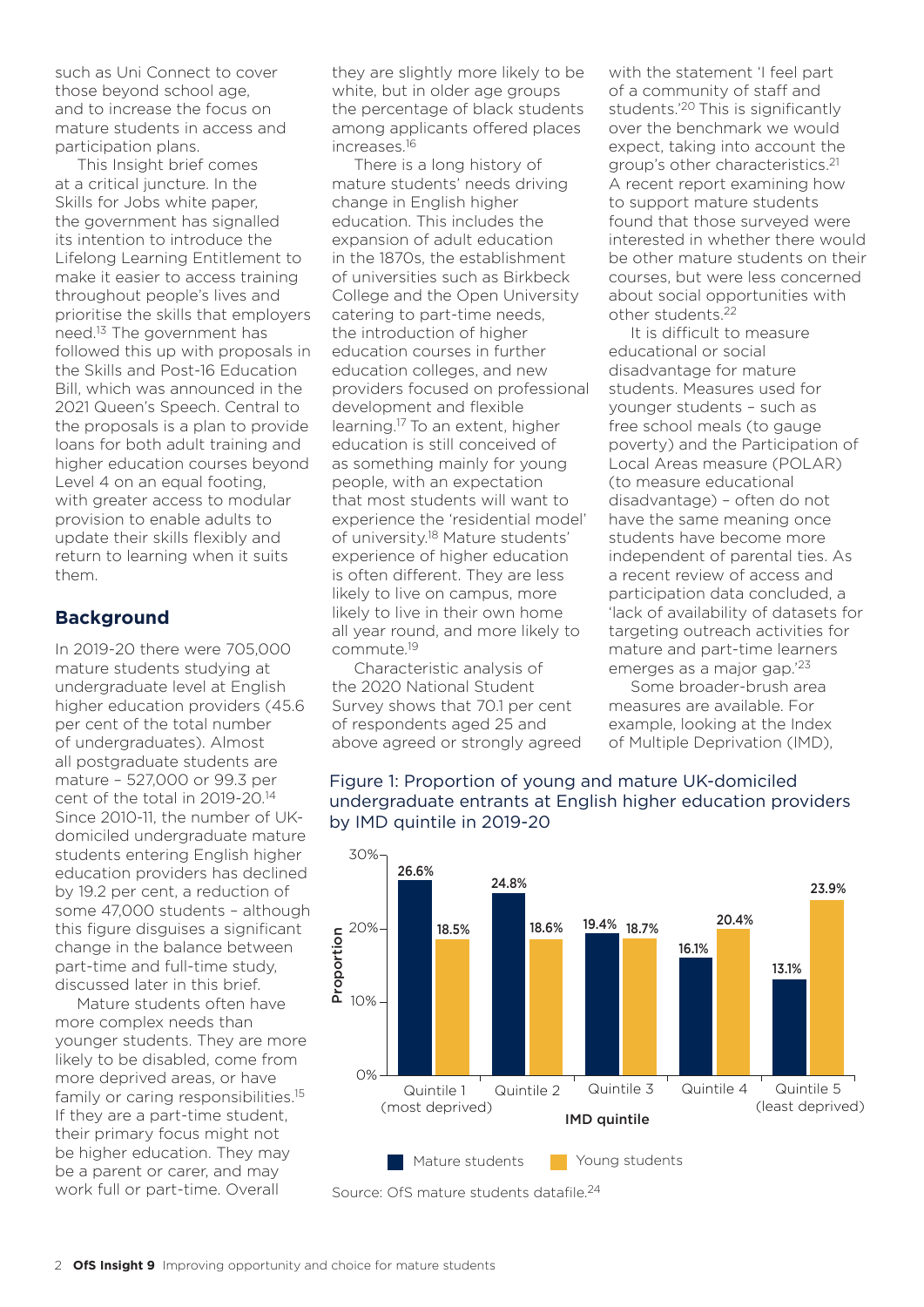such as Uni Connect to cover those beyond school age, and to increase the focus on mature students in access and participation plans.

This Insight brief comes at a critical juncture. In the Skills for Jobs white paper, the government has signalled its intention to introduce the Lifelong Learning Entitlement to make it easier to access training throughout people's lives and prioritise the skills that employers need.13 The government has followed this up with proposals in the Skills and Post-16 Education Bill, which was announced in the 2021 Queen's Speech. Central to the proposals is a plan to provide loans for both adult training and higher education courses beyond Level 4 on an equal footing, with greater access to modular provision to enable adults to update their skills flexibly and return to learning when it suits them.

## **Background**

In 2019-20 there were 705,000 mature students studying at undergraduate level at English higher education providers (45.6 per cent of the total number of undergraduates). Almost all postgraduate students are mature – 527,000 or 99.3 per cent of the total in 2019-20.14 Since 2010-11, the number of UKdomiciled undergraduate mature students entering English higher education providers has declined by 19.2 per cent, a reduction of some 47,000 students – although this figure disguises a significant change in the balance between part-time and full-time study, discussed later in this brief.

Mature students often have more complex needs than younger students. They are more likely to be disabled, come from more deprived areas, or have family or caring responsibilities.<sup>15</sup> If they are a part-time student, their primary focus might not be higher education. They may be a parent or carer, and may work full or part-time. Overall

they are slightly more likely to be white, but in older age groups the percentage of black students among applicants offered places increases.16

There is a long history of mature students' needs driving change in English higher education. This includes the expansion of adult education in the 1870s, the establishment of universities such as Birkbeck College and the Open University catering to part-time needs, the introduction of higher education courses in further education colleges, and new providers focused on professional development and flexible learning.17 To an extent, higher education is still conceived of as something mainly for young people, with an expectation that most students will want to experience the 'residential model' of university.18 Mature students' experience of higher education is often different. They are less likely to live on campus, more likely to live in their own home all year round, and more likely to commute.19

Characteristic analysis of the 2020 National Student Survey shows that 70.1 per cent of respondents aged 25 and above agreed or strongly agreed with the statement 'I feel part of a community of staff and students.'20 This is significantly over the benchmark we would expect, taking into account the group's other characteristics.21 A recent report examining how to support mature students found that those surveyed were interested in whether there would be other mature students on their courses, but were less concerned about social opportunities with other students.22

It is difficult to measure educational or social disadvantage for mature students. Measures used for younger students – such as free school meals (to gauge poverty) and the Participation of Local Areas measure (POLAR) (to measure educational disadvantage) – often do not have the same meaning once students have become more independent of parental ties. As a recent review of access and participation data concluded, a 'lack of availability of datasets for targeting outreach activities for mature and part-time learners emerges as a major gap.'23

Some broader-brush area measures are available. For example, looking at the Index of Multiple Deprivation (IMD),

#### Figure 1: Proportion of young and mature UK-domiciled undergraduate entrants at English higher education providers by IMD quintile in 2019-20



Source: OfS mature students datafile.<sup>24</sup>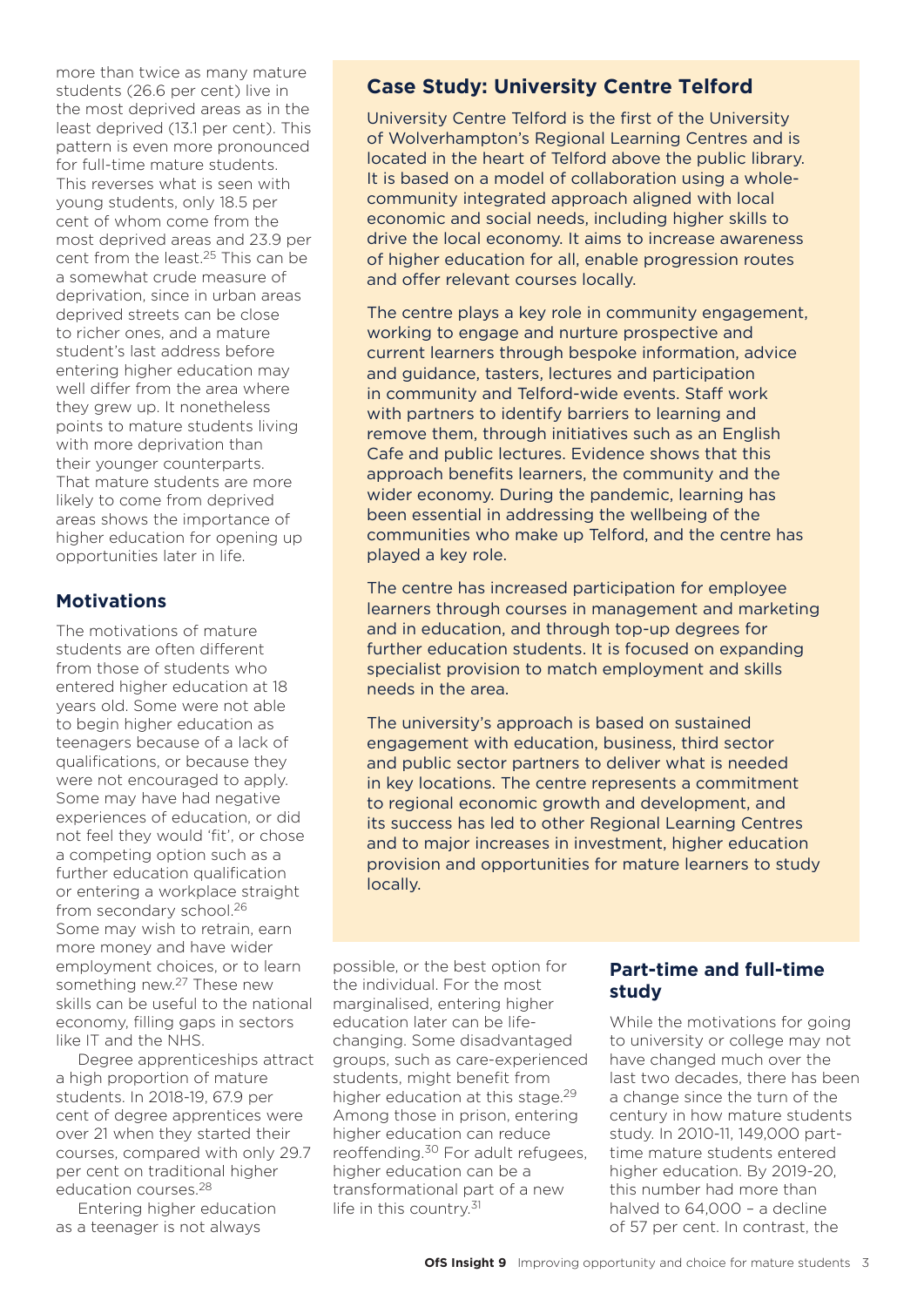more than twice as many mature students (26.6 per cent) live in the most deprived areas as in the least deprived (13.1 per cent). This pattern is even more pronounced for full-time mature students. This reverses what is seen with young students, only 18.5 per cent of whom come from the most deprived areas and 23.9 per cent from the least.25 This can be a somewhat crude measure of deprivation, since in urban areas deprived streets can be close to richer ones, and a mature student's last address before entering higher education may well differ from the area where they grew up. It nonetheless points to mature students living with more deprivation than their younger counterparts. That mature students are more likely to come from deprived areas shows the importance of higher education for opening up opportunities later in life.

# **Motivations**

The motivations of mature students are often different from those of students who entered higher education at 18 years old. Some were not able to begin higher education as teenagers because of a lack of qualifications, or because they were not encouraged to apply. Some may have had negative experiences of education, or did not feel they would 'fit', or chose a competing option such as a further education qualification or entering a workplace straight from secondary school.26 Some may wish to retrain, earn more money and have wider employment choices, or to learn something new.27 These new skills can be useful to the national economy, filling gaps in sectors like IT and the NHS.

Degree apprenticeships attract a high proportion of mature students. In 2018-19, 67.9 per cent of degree apprentices were over 21 when they started their courses, compared with only 29.7 per cent on traditional higher education courses.28

Entering higher education as a teenager is not always

# **Case Study: University Centre Telford**

University Centre Telford is the first of the University of Wolverhampton's Regional Learning Centres and is located in the heart of Telford above the public library. It is based on a model of collaboration using a wholecommunity integrated approach aligned with local economic and social needs, including higher skills to drive the local economy. It aims to increase awareness of higher education for all, enable progression routes and offer relevant courses locally.

The centre plays a key role in community engagement, working to engage and nurture prospective and current learners through bespoke information, advice and guidance, tasters, lectures and participation in community and Telford-wide events. Staff work with partners to identify barriers to learning and remove them, through initiatives such as an English Cafe and public lectures. Evidence shows that this approach benefits learners, the community and the wider economy. During the pandemic, learning has been essential in addressing the wellbeing of the communities who make up Telford, and the centre has played a key role.

The centre has increased participation for employee learners through courses in management and marketing and in education, and through top-up degrees for further education students. It is focused on expanding specialist provision to match employment and skills needs in the area.

The university's approach is based on sustained engagement with education, business, third sector and public sector partners to deliver what is needed in key locations. The centre represents a commitment to regional economic growth and development, and its success has led to other Regional Learning Centres and to major increases in investment, higher education provision and opportunities for mature learners to study locally.

possible, or the best option for the individual. For the most marginalised, entering higher education later can be lifechanging. Some disadvantaged groups, such as care-experienced students, might benefit from higher education at this stage.<sup>29</sup> Among those in prison, entering higher education can reduce reoffending.30 For adult refugees, higher education can be a transformational part of a new life in this country.<sup>31</sup>

## **Part-time and full-time study**

While the motivations for going to university or college may not have changed much over the last two decades, there has been a change since the turn of the century in how mature students study. In 2010-11, 149,000 parttime mature students entered higher education. By 2019-20, this number had more than halved to 64,000 – a decline of 57 per cent. In contrast, the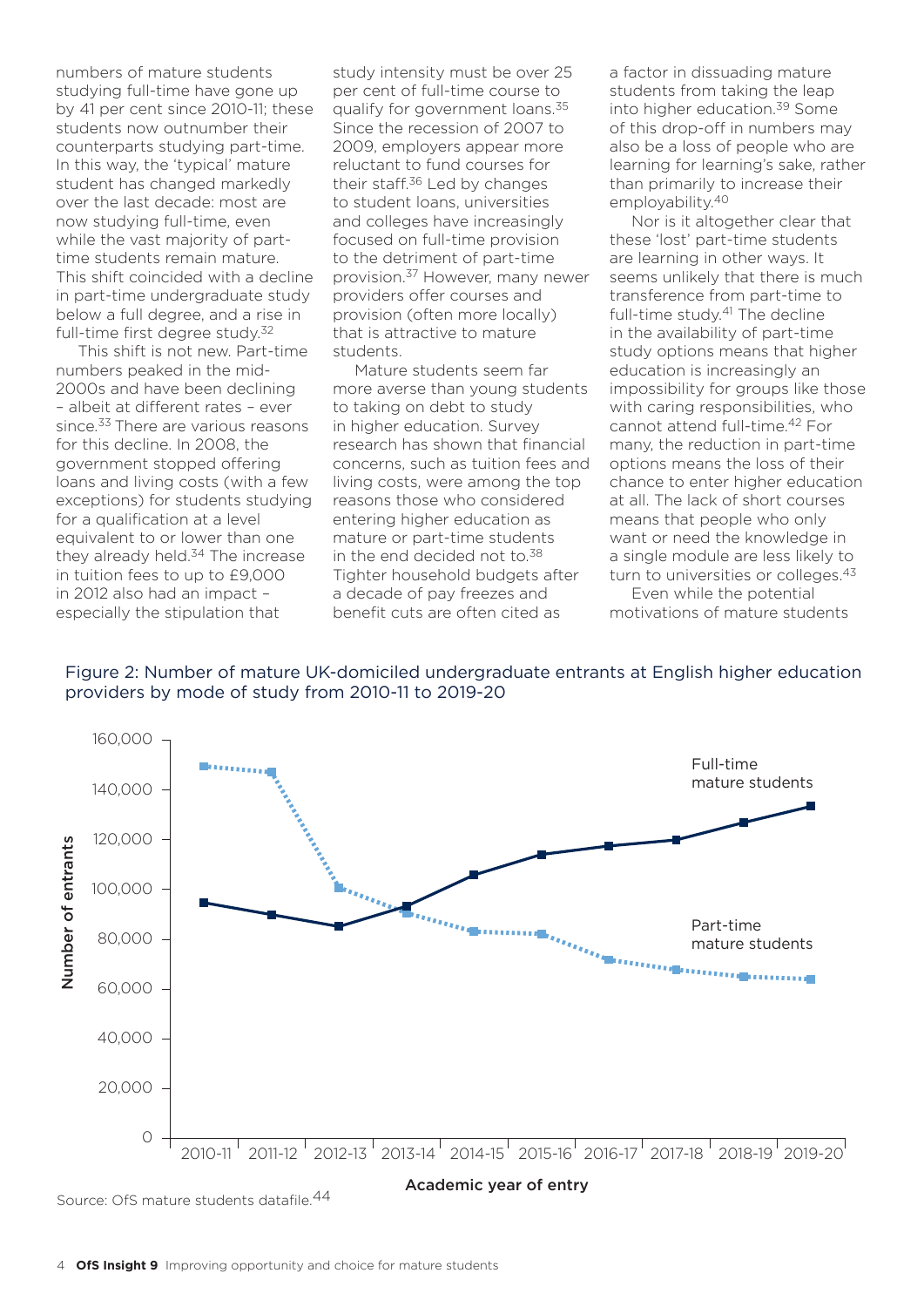numbers of mature students studying full-time have gone up by 41 per cent since 2010-11; these students now outnumber their counterparts studying part-time. In this way, the 'typical' mature student has changed markedly over the last decade: most are now studying full-time, even while the vast majority of parttime students remain mature. This shift coincided with a decline in part-time undergraduate study below a full degree, and a rise in full-time first degree study.<sup>32</sup>

This shift is not new. Part-time numbers peaked in the mid-2000s and have been declining – albeit at different rates – ever since.<sup>33</sup> There are various reasons for this decline. In 2008, the government stopped offering loans and living costs (with a few exceptions) for students studying for a qualification at a level equivalent to or lower than one they already held.<sup>34</sup> The increase in tuition fees to up to £9,000 in 2012 also had an impact – especially the stipulation that

study intensity must be over 25 per cent of full-time course to qualify for government loans.<sup>35</sup> Since the recession of 2007 to 2009, employers appear more reluctant to fund courses for their staff.36 Led by changes to student loans, universities and colleges have increasingly focused on full-time provision to the detriment of part-time provision.37 However, many newer providers offer courses and provision (often more locally) that is attractive to mature students.

Mature students seem far more averse than young students to taking on debt to study in higher education. Survey research has shown that financial concerns, such as tuition fees and living costs, were among the top reasons those who considered entering higher education as mature or part-time students in the end decided not to.<sup>38</sup> Tighter household budgets after a decade of pay freezes and benefit cuts are often cited as

a factor in dissuading mature students from taking the leap into higher education.39 Some of this drop-off in numbers may also be a loss of people who are learning for learning's sake, rather than primarily to increase their employability.40

Nor is it altogether clear that these 'lost' part-time students are learning in other ways. It seems unlikely that there is much transference from part-time to full-time study.<sup>41</sup> The decline in the availability of part-time study options means that higher education is increasingly an impossibility for groups like those with caring responsibilities, who cannot attend full-time.42 For many, the reduction in part-time options means the loss of their chance to enter higher education at all. The lack of short courses means that people who only want or need the knowledge in a single module are less likely to turn to universities or colleges.<sup>43</sup>

Even while the potential motivations of mature students





Source: OfS mature students datafile.44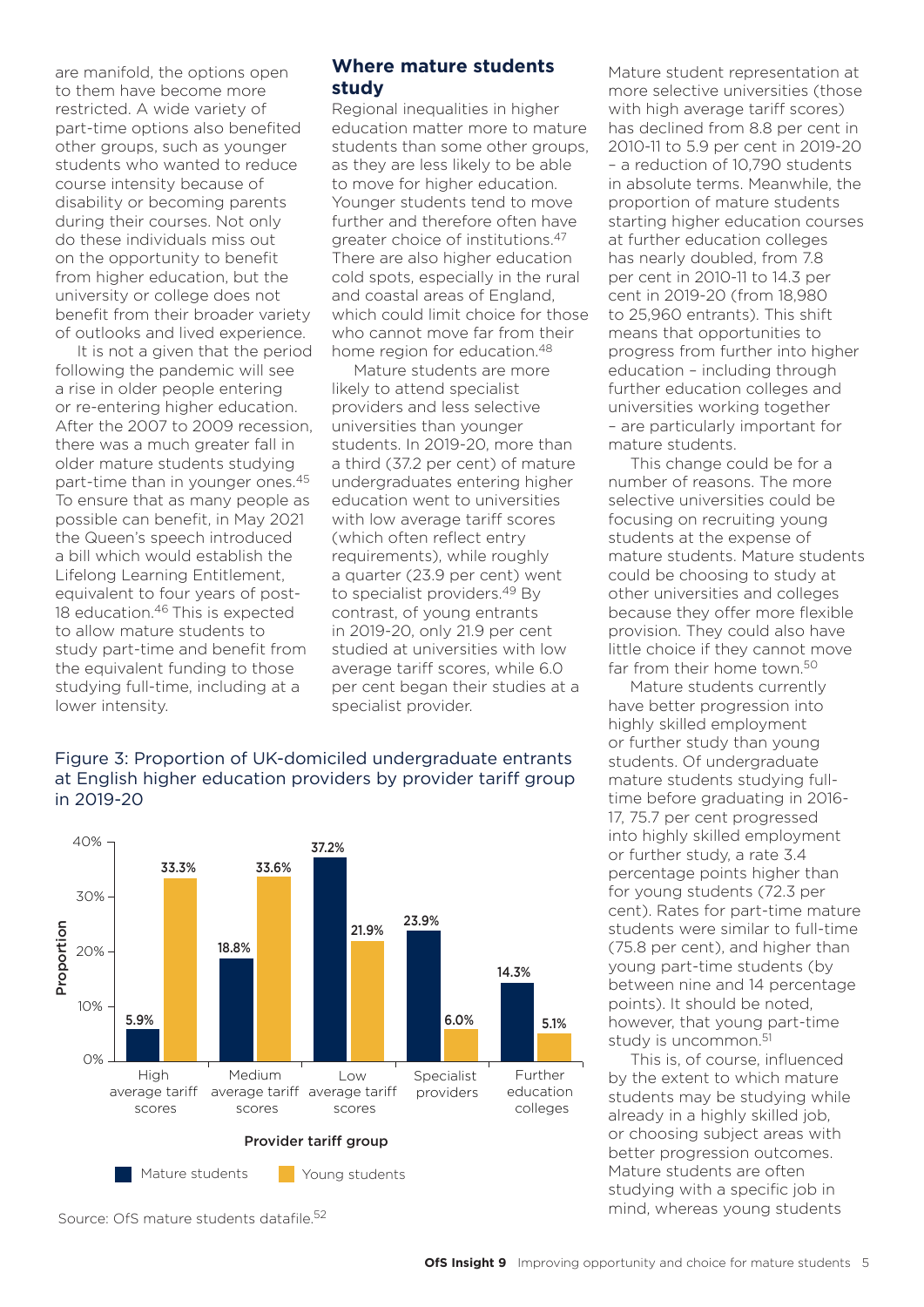are manifold, the options open to them have become more restricted. A wide variety of part-time options also benefited other groups, such as younger students who wanted to reduce course intensity because of disability or becoming parents during their courses. Not only do these individuals miss out on the opportunity to benefit from higher education, but the university or college does not benefit from their broader variety of outlooks and lived experience.

It is not a given that the period following the pandemic will see a rise in older people entering or re-entering higher education. After the 2007 to 2009 recession, there was a much greater fall in older mature students studying part-time than in younger ones.45 To ensure that as many people as possible can benefit, in May 2021 the Queen's speech introduced a bill which would establish the Lifelong Learning Entitlement, equivalent to four years of post-18 education.<sup>46</sup> This is expected to allow mature students to study part-time and benefit from the equivalent funding to those studying full-time, including at a lower intensity.

# **Where mature students study**

Regional inequalities in higher education matter more to mature students than some other groups, as they are less likely to be able to move for higher education. Younger students tend to move further and therefore often have greater choice of institutions.47 There are also higher education cold spots, especially in the rural and coastal areas of England, which could limit choice for those who cannot move far from their home region for education.48

Mature students are more likely to attend specialist providers and less selective universities than younger students. In 2019-20, more than a third (37.2 per cent) of mature undergraduates entering higher education went to universities with low average tariff scores (which often reflect entry requirements), while roughly a quarter (23.9 per cent) went to specialist providers.<sup>49</sup> By contrast, of young entrants in 2019-20, only 21.9 per cent studied at universities with low average tariff scores, while 6.0 per cent began their studies at a specialist provider.

#### Figure 3: Proportion of UK-domiciled undergraduate entrants at English higher education providers by provider tariff group in 2019-20



Source: OfS mature students datafile.<sup>52</sup>

Mature student representation at more selective universities (those with high average tariff scores) has declined from 8.8 per cent in 2010-11 to 5.9 per cent in 2019-20 – a reduction of 10,790 students in absolute terms. Meanwhile, the proportion of mature students starting higher education courses at further education colleges has nearly doubled, from 7.8 per cent in 2010-11 to 14.3 per cent in 2019-20 (from 18,980 to 25,960 entrants). This shift means that opportunities to progress from further into higher education – including through further education colleges and universities working together – are particularly important for mature students.

This change could be for a number of reasons. The more selective universities could be focusing on recruiting young students at the expense of mature students. Mature students could be choosing to study at other universities and colleges because they offer more flexible provision. They could also have little choice if they cannot move far from their home town.<sup>50</sup>

Mature students currently have better progression into highly skilled employment or further study than young students. Of undergraduate mature students studying fulltime before graduating in 2016- 17, 75.7 per cent progressed into highly skilled employment or further study, a rate 3.4 percentage points higher than for young students (72.3 per cent). Rates for part-time mature students were similar to full-time (75.8 per cent), and higher than young part-time students (by between nine and 14 percentage points). It should be noted, however, that young part-time study is uncommon.<sup>51</sup>

This is, of course, influenced by the extent to which mature students may be studying while already in a highly skilled job, or choosing subject areas with better progression outcomes. Mature students are often studying with a specific job in mind, whereas young students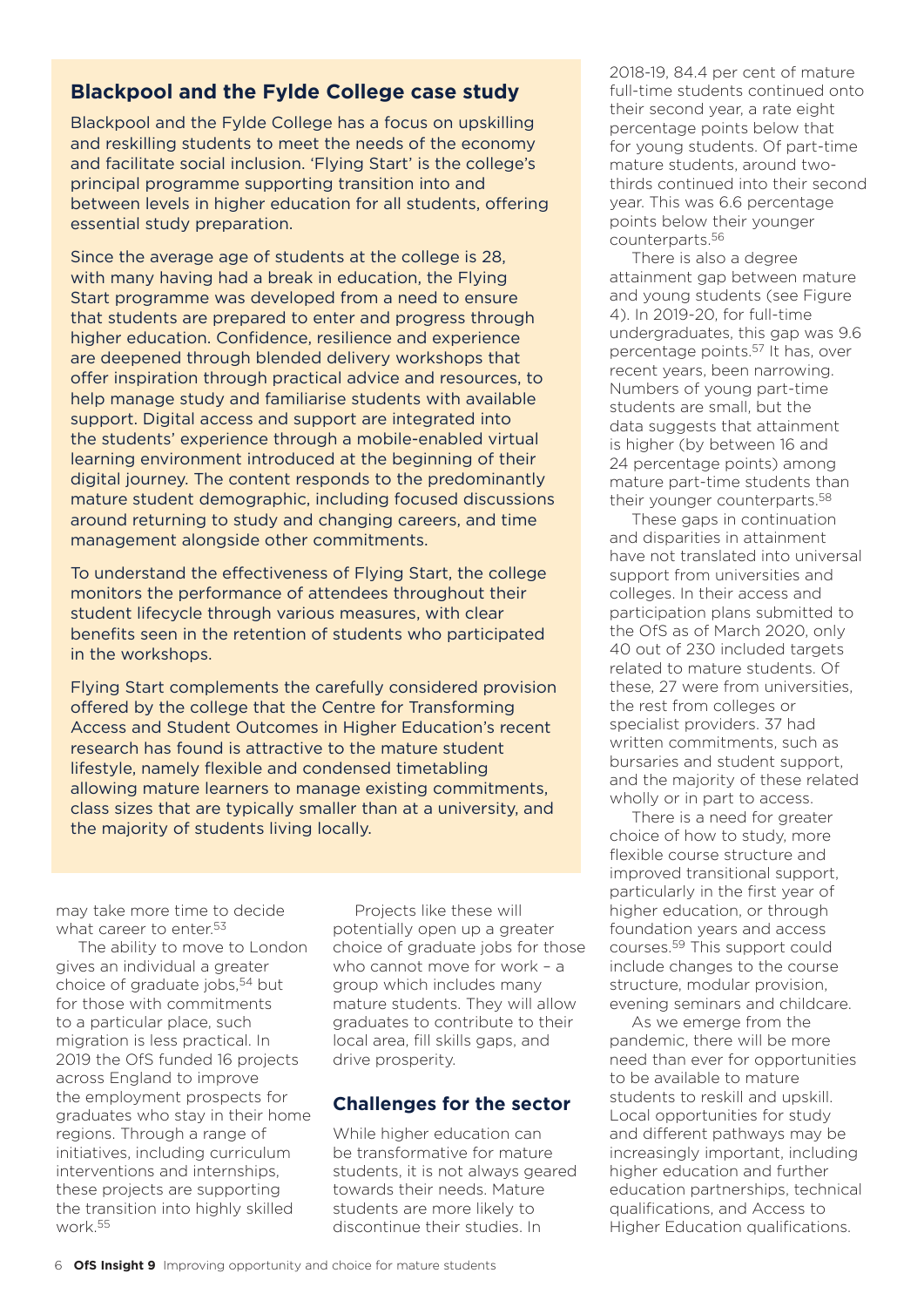# **Blackpool and the Fylde College case study**

Blackpool and the Fylde College has a focus on upskilling and reskilling students to meet the needs of the economy and facilitate social inclusion. 'Flying Start' is the college's principal programme supporting transition into and between levels in higher education for all students, offering essential study preparation.

Since the average age of students at the college is 28, with many having had a break in education, the Flying Start programme was developed from a need to ensure that students are prepared to enter and progress through higher education. Confidence, resilience and experience are deepened through blended delivery workshops that offer inspiration through practical advice and resources, to help manage study and familiarise students with available support. Digital access and support are integrated into the students' experience through a mobile-enabled virtual learning environment introduced at the beginning of their digital journey. The content responds to the predominantly mature student demographic, including focused discussions around returning to study and changing careers, and time management alongside other commitments.

To understand the effectiveness of Flying Start, the college monitors the performance of attendees throughout their student lifecycle through various measures, with clear benefits seen in the retention of students who participated in the workshops.

Flying Start complements the carefully considered provision offered by the college that the Centre for Transforming Access and Student Outcomes in Higher Education's recent research has found is attractive to the mature student lifestyle, namely flexible and condensed timetabling allowing mature learners to manage existing commitments, class sizes that are typically smaller than at a university, and the majority of students living locally.

may take more time to decide what career to enter.<sup>53</sup>

The ability to move to London gives an individual a greater choice of graduate jobs.<sup>54</sup> but for those with commitments to a particular place, such migration is less practical. In 2019 the OfS funded 16 projects across England to improve the employment prospects for graduates who stay in their home regions. Through a range of initiatives, including curriculum interventions and internships, these projects are supporting the transition into highly skilled work.55

Projects like these will potentially open up a greater choice of graduate jobs for those who cannot move for work – a group which includes many mature students. They will allow graduates to contribute to their local area, fill skills gaps, and drive prosperity.

## **Challenges for the sector**

While higher education can be transformative for mature students, it is not always geared towards their needs. Mature students are more likely to discontinue their studies. In

2018-19, 84.4 per cent of mature full-time students continued onto their second year, a rate eight percentage points below that for young students. Of part-time mature students, around twothirds continued into their second year. This was 6.6 percentage points below their younger counterparts.56

There is also a degree attainment gap between mature and young students (see Figure 4). In 2019-20, for full-time undergraduates, this gap was 9.6 percentage points.57 It has, over recent years, been narrowing. Numbers of young part-time students are small, but the data suggests that attainment is higher (by between 16 and 24 percentage points) among mature part-time students than their younger counterparts.58

These gaps in continuation and disparities in attainment have not translated into universal support from universities and colleges. In their access and participation plans submitted to the OfS as of March 2020, only 40 out of 230 included targets related to mature students. Of these, 27 were from universities, the rest from colleges or specialist providers. 37 had written commitments, such as bursaries and student support, and the majority of these related wholly or in part to access.

There is a need for greater choice of how to study, more flexible course structure and improved transitional support, particularly in the first year of higher education, or through foundation years and access courses.59 This support could include changes to the course structure, modular provision, evening seminars and childcare.

As we emerge from the pandemic, there will be more need than ever for opportunities to be available to mature students to reskill and upskill. Local opportunities for study and different pathways may be increasingly important, including higher education and further education partnerships, technical qualifications, and Access to Higher Education qualifications.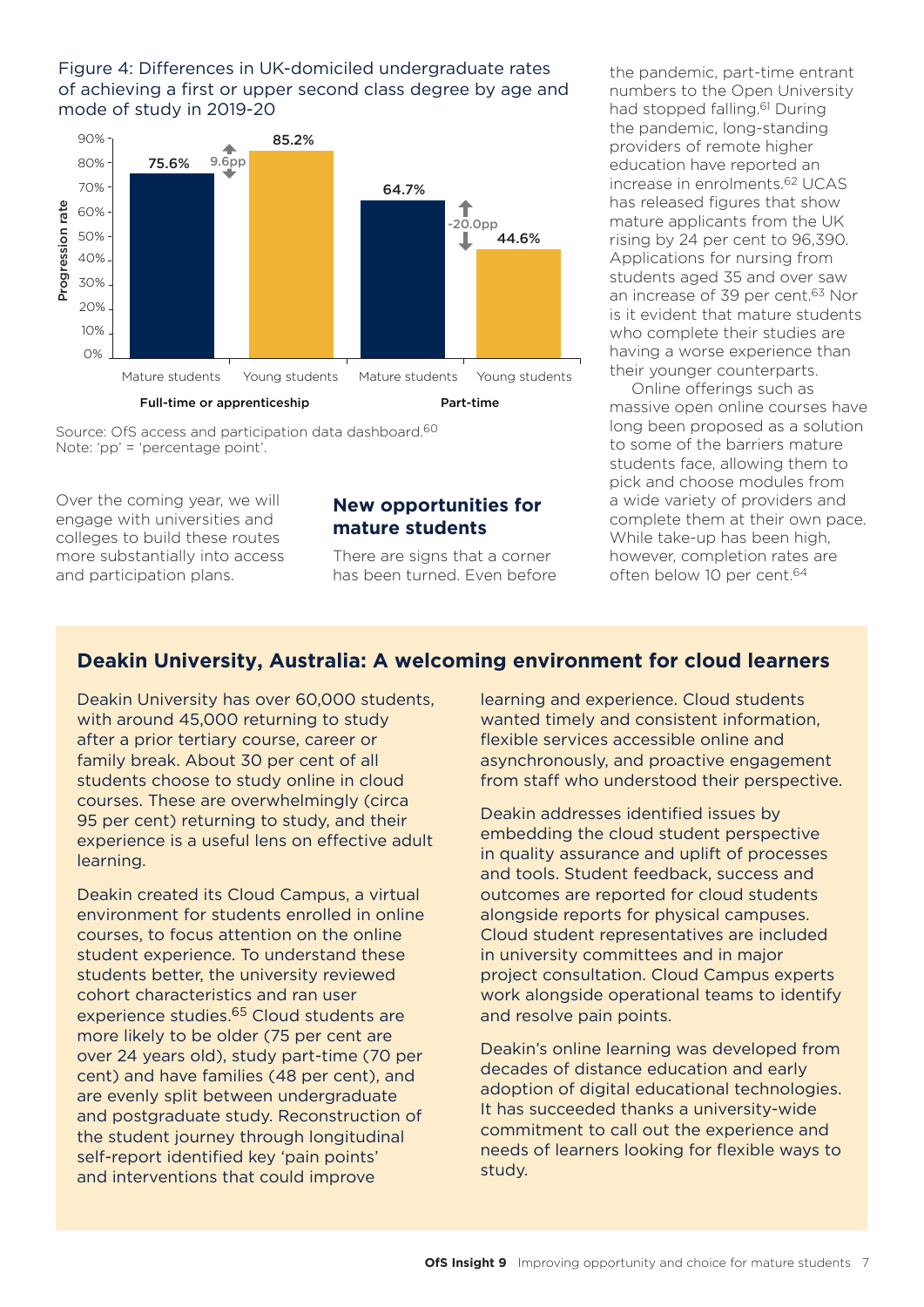#### Figure 4: Differences in UK-domiciled undergraduate rates of achieving a first or upper second class degree by age and mode of study in 2019-20



Source: OfS access and participation data dashboard.60 Note: 'pp' = 'percentage point'.

Over the coming year, we will engage with universities and colleges to build these routes more substantially into access and participation plans.

#### **New opportunities for mature students**

There are signs that a corner has been turned. Even before

the pandemic, part-time entrant numbers to the Open University had stopped falling.<sup>61</sup> During the pandemic, long-standing providers of remote higher education have reported an increase in enrolments.62 UCAS has released figures that show mature applicants from the UK rising by 24 per cent to 96,390. Applications for nursing from students aged 35 and over saw an increase of 39 per cent.<sup>63</sup> Nor is it evident that mature students who complete their studies are having a worse experience than their younger counterparts.

Online offerings such as massive open online courses have long been proposed as a solution to some of the barriers mature students face, allowing them to pick and choose modules from a wide variety of providers and complete them at their own pace. While take-up has been high, however, completion rates are often below 10 per cent.64

# **Deakin University, Australia: A welcoming environment for cloud learners**

Deakin University has over 60,000 students, with around 45,000 returning to study after a prior tertiary course, career or family break. About 30 per cent of all students choose to study online in cloud courses. These are overwhelmingly (circa 95 per cent) returning to study, and their experience is a useful lens on effective adult learning.

Deakin created its Cloud Campus, a virtual environment for students enrolled in online courses, to focus attention on the online student experience. To understand these students better, the university reviewed cohort characteristics and ran user experience studies.65 Cloud students are more likely to be older (75 per cent are over 24 years old), study part-time (70 per cent) and have families (48 per cent), and are evenly split between undergraduate and postgraduate study. Reconstruction of the student journey through longitudinal self-report identified key 'pain points' and interventions that could improve

learning and experience. Cloud students wanted timely and consistent information, flexible services accessible online and asynchronously, and proactive engagement from staff who understood their perspective.

Deakin addresses identified issues by embedding the cloud student perspective in quality assurance and uplift of processes and tools. Student feedback, success and outcomes are reported for cloud students alongside reports for physical campuses. Cloud student representatives are included in university committees and in major project consultation. Cloud Campus experts work alongside operational teams to identify and resolve pain points.

Deakin's online learning was developed from decades of distance education and early adoption of digital educational technologies. It has succeeded thanks a university-wide commitment to call out the experience and needs of learners looking for flexible ways to study.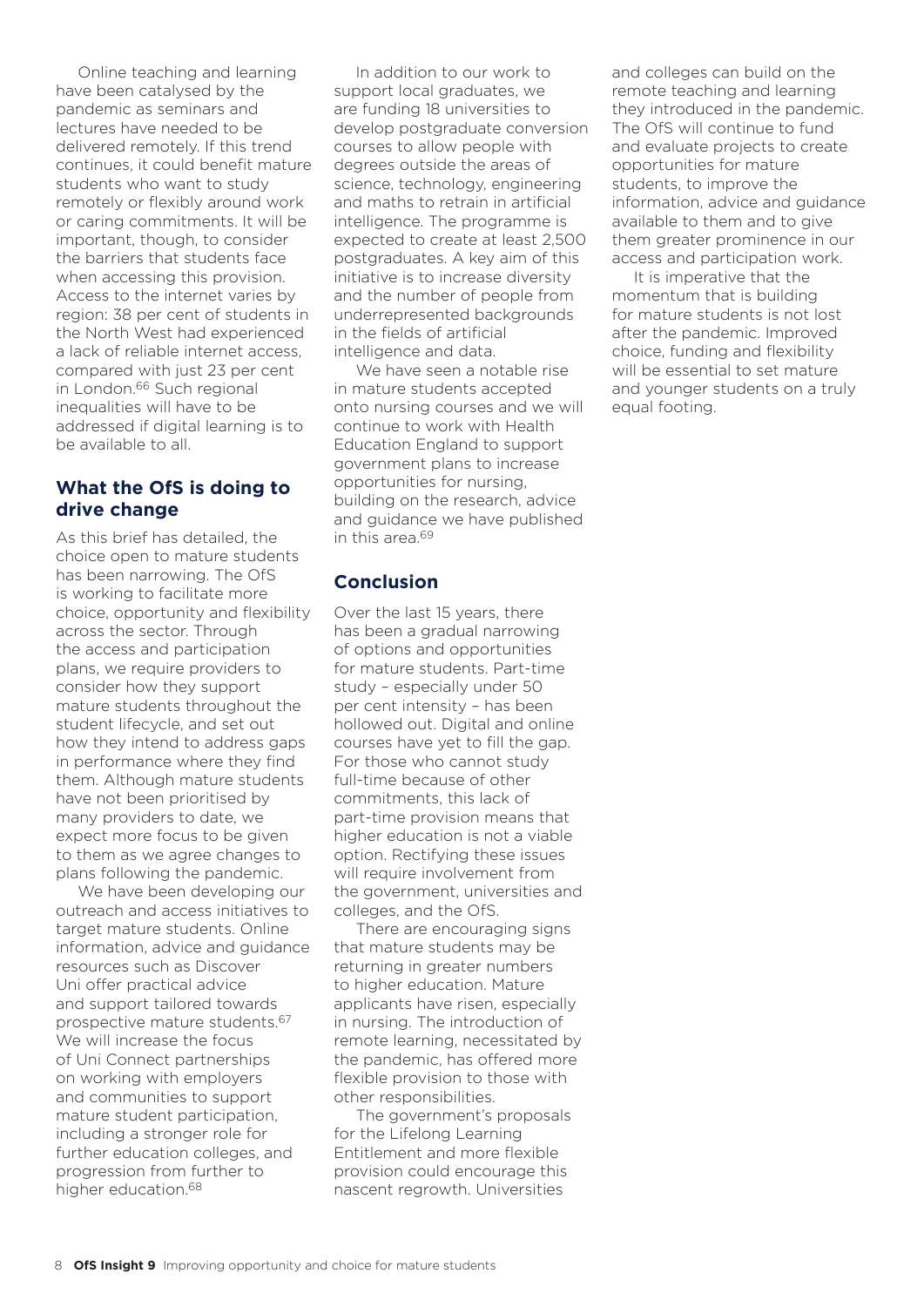Online teaching and learning have been catalysed by the pandemic as seminars and lectures have needed to be delivered remotely. If this trend continues, it could benefit mature students who want to study remotely or flexibly around work or caring commitments. It will be important, though, to consider the barriers that students face when accessing this provision. Access to the internet varies by region: 38 per cent of students in the North West had experienced a lack of reliable internet access, compared with just 23 per cent in London.66 Such regional inequalities will have to be addressed if digital learning is to be available to all.

# **What the OfS is doing to drive change**

As this brief has detailed, the choice open to mature students has been narrowing. The OfS is working to facilitate more choice, opportunity and flexibility across the sector. Through the access and participation plans, we require providers to consider how they support mature students throughout the student lifecycle, and set out how they intend to address gaps in performance where they find them. Although mature students have not been prioritised by many providers to date, we expect more focus to be given to them as we agree changes to plans following the pandemic.

We have been developing our outreach and access initiatives to target mature students. Online information, advice and guidance resources such as Discover Uni offer practical advice and support tailored towards prospective mature students.67 We will increase the focus of Uni Connect partnerships on working with employers and communities to support mature student participation, including a stronger role for further education colleges, and progression from further to higher education.68

In addition to our work to support local graduates, we are funding 18 universities to develop postgraduate conversion courses to allow people with degrees outside the areas of science, technology, engineering and maths to retrain in artificial intelligence. The programme is expected to create at least 2,500 postgraduates. A key aim of this initiative is to increase diversity and the number of people from underrepresented backgrounds in the fields of artificial intelligence and data.

We have seen a notable rise in mature students accepted onto nursing courses and we will continue to work with Health Education England to support government plans to increase opportunities for nursing, building on the research, advice and guidance we have published in this area 69

# **Conclusion**

Over the last 15 years, there has been a gradual narrowing of options and opportunities for mature students. Part-time study – especially under 50 per cent intensity – has been hollowed out. Digital and online courses have yet to fill the gap. For those who cannot study full-time because of other commitments, this lack of part-time provision means that higher education is not a viable option. Rectifying these issues will require involvement from the government, universities and colleges, and the OfS.

There are encouraging signs that mature students may be returning in greater numbers to higher education. Mature applicants have risen, especially in nursing. The introduction of remote learning, necessitated by the pandemic, has offered more flexible provision to those with other responsibilities.

The government's proposals for the Lifelong Learning Entitlement and more flexible provision could encourage this nascent regrowth. Universities

and colleges can build on the remote teaching and learning they introduced in the pandemic. The OfS will continue to fund and evaluate projects to create opportunities for mature students, to improve the information, advice and guidance available to them and to give them greater prominence in our access and participation work.

It is imperative that the momentum that is building for mature students is not lost after the pandemic. Improved choice, funding and flexibility will be essential to set mature and younger students on a truly equal footing.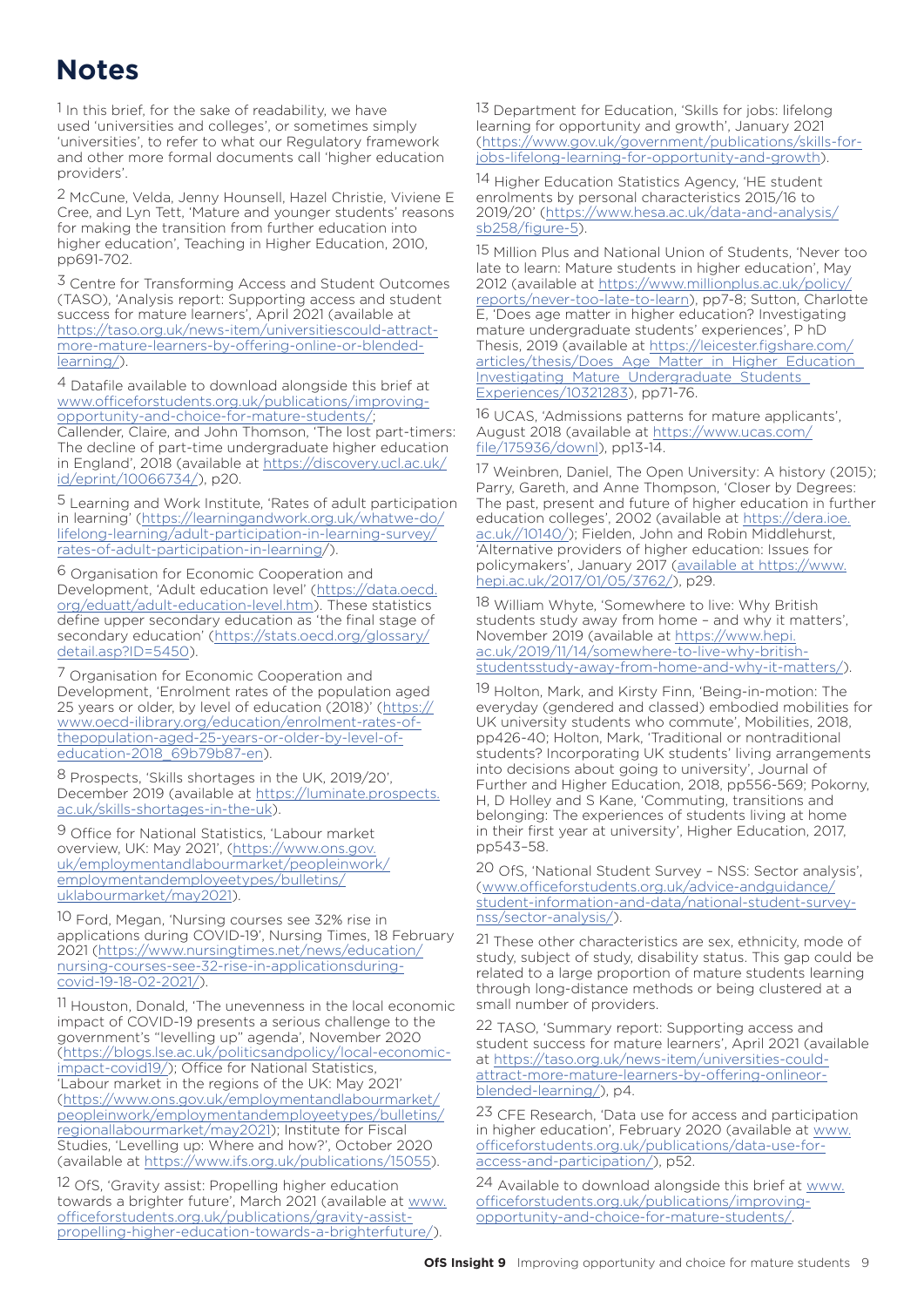# **Notes**

1 In this brief, for the sake of readability, we have used 'universities and colleges', or sometimes simply 'universities', to refer to what our Regulatory framework and other more formal documents call 'higher education providers'.

2 McCune, Velda, Jenny Hounsell, Hazel Christie, Viviene E Cree, and Lyn Tett, 'Mature and younger students' reasons for making the transition from further education into higher education', Teaching in Higher Education, 2010, pp691-702.

3 Centre for Transforming Access and Student Outcomes (TASO), 'Analysis report: Supporting access and student success for mature learners', April 2021 (available at [https://taso.org.uk/news-item/universitiescould-attract](https://taso.org.uk/news-item/universities-could-attract-more-mature-learners-by-offering-online-or-blended-learning/)[more-mature-learners-by-offering-online-or-blended](https://taso.org.uk/news-item/universities-could-attract-more-mature-learners-by-offering-online-or-blended-learning/)[learning/\)](https://taso.org.uk/news-item/universities-could-attract-more-mature-learners-by-offering-online-or-blended-learning/).

4 Datafile available to download alongside this brief at [www.officeforstudents.org.uk/publications/improving](https://www.officeforstudents.org.uk/publications/improving-opportunity-and-choice-for-mature-students/)[opportunity-and-choice-for-mature-students/](https://www.officeforstudents.org.uk/publications/improving-opportunity-and-choice-for-mature-students/);

Callender, Claire, and John Thomson, 'The lost part-timers: The decline of part-time undergraduate higher education in England', 2018 (available at [https://discovery.ucl.ac.uk/](https://discovery.ucl.ac.uk/id/eprint/10066734/) [id/eprint/10066734/\)](https://discovery.ucl.ac.uk/id/eprint/10066734/), p20.

5 Learning and Work Institute, 'Rates of adult participation in learning' [\(https://learningandwork.org.uk/whatwe-do/](https://learningandwork.org.uk/what-we-do/lifelong-learning/adult-participation-in-learning-survey/rates-of-adult-participation-in-learning/) [lifelong-learning/adult-participation-in-learning-survey/](https://learningandwork.org.uk/what-we-do/lifelong-learning/adult-participation-in-learning-survey/rates-of-adult-participation-in-learning/) [rates-of-adult-participation-in-learning/](https://learningandwork.org.uk/what-we-do/lifelong-learning/adult-participation-in-learning-survey/rates-of-adult-participation-in-learning/)).

6 Organisation for Economic Cooperation and Development, 'Adult education level' ([https://data.oecd.](https://data.oecd.org/eduatt/adult-education-level.htm) [org/eduatt/adult-education-level.htm](https://data.oecd.org/eduatt/adult-education-level.htm)). These statistics define upper secondary education as 'the final stage of secondary education' [\(https://stats.oecd.org/glossary/](https://stats.oecd.org/glossary/detail.asp?ID=5450) [detail.asp?ID=5450](https://stats.oecd.org/glossary/detail.asp?ID=5450)).

7 Organisation for Economic Cooperation and Development, 'Enrolment rates of the population aged 25 years or older, by level of education (2018)' ([https://](https://www.oecd-ilibrary.org/education/enrolment-rates-of-the-population-aged-25-years-or-older-by-level-of-education-2018_69b79b87-en) [www.oecd-ilibrary.org/education/enrolment-rates-of](https://www.oecd-ilibrary.org/education/enrolment-rates-of-the-population-aged-25-years-or-older-by-level-of-education-2018_69b79b87-en)[thepopulation-aged-25-years-or-older-by-level-of](https://www.oecd-ilibrary.org/education/enrolment-rates-of-the-population-aged-25-years-or-older-by-level-of-education-2018_69b79b87-en)[education-2018\\_69b79b87-en\)](https://www.oecd-ilibrary.org/education/enrolment-rates-of-the-population-aged-25-years-or-older-by-level-of-education-2018_69b79b87-en).

8 Prospects, 'Skills shortages in the UK, 2019/20', December 2019 (available at [https://luminate.prospects.](https://luminate.prospects.ac.uk/skills-shortages-in-the-uk) [ac.uk/skills-shortages-in-the-uk](https://luminate.prospects.ac.uk/skills-shortages-in-the-uk)).

9 Office for National Statistics, 'Labour market overview, UK: May 2021', [\(https://www.ons.gov.](https://www.ons.gov.uk/employmentandlabourmarket/peopleinwork/employmentandemployeetypes/bulletins/uklabourmarket/may2021) [uk/employmentandlabourmarket/peopleinwork/](https://www.ons.gov.uk/employmentandlabourmarket/peopleinwork/employmentandemployeetypes/bulletins/uklabourmarket/may2021) [employmentandemployeetypes/bulletins/](https://www.ons.gov.uk/employmentandlabourmarket/peopleinwork/employmentandemployeetypes/bulletins/uklabourmarket/may2021) [uklabourmarket/may2021](https://www.ons.gov.uk/employmentandlabourmarket/peopleinwork/employmentandemployeetypes/bulletins/uklabourmarket/may2021)).

10 Ford, Megan, 'Nursing courses see 32% rise in applications during COVID-19', Nursing Times, 18 February 2021 [\(https://www.nursingtimes.net/news/education/](https://www.nursingtimes.net/news/education/nursing-courses-see-32-rise-in-applications-during-covid-19-18-02-2021/) [nursing-courses-see-32-rise-in-applicationsduring](https://www.nursingtimes.net/news/education/nursing-courses-see-32-rise-in-applications-during-covid-19-18-02-2021/)[covid-19-18-02-2021/](https://www.nursingtimes.net/news/education/nursing-courses-see-32-rise-in-applications-during-covid-19-18-02-2021/)).

11 Houston, Donald, 'The unevenness in the local economic impact of COVID-19 presents a serious challenge to the government's "levelling up" agenda', November 2020 ([https://blogs.lse.ac.uk/politicsandpolicy/local-economic](https://blogs.lse.ac.uk/politicsandpolicy/local-economic-impact-covid19/)[impact-covid19/](https://blogs.lse.ac.uk/politicsandpolicy/local-economic-impact-covid19/)); Office for National Statistics, 'Labour market in the regions of the UK: May 2021' ([https://www.ons.gov.uk/employmentandlabourmarket/](https://www.ons.gov.uk/employmentandlabourmarket/peopleinwork/employmentandemployeetypes/bulletins/regionallabourmarket/may2021) [peopleinwork/employmentandemployeetypes/bulletins/](https://www.ons.gov.uk/employmentandlabourmarket/peopleinwork/employmentandemployeetypes/bulletins/regionallabourmarket/may2021) [regionallabourmarket/may2021](https://www.ons.gov.uk/employmentandlabourmarket/peopleinwork/employmentandemployeetypes/bulletins/regionallabourmarket/may2021)); Institute for Fiscal Studies, 'Levelling up: Where and how?', October 2020 (available at [https://www.ifs.org.uk/publications/15055\)](https://www.ifs.org.uk/publications/15055).

12 OfS, 'Gravity assist: Propelling higher education towards a brighter future', March 2021 (available at [www.](https://www.officeforstudents.org.uk/publications/gravity-assist-propelling-higher-education-towards-a-brighter-future/) [officeforstudents.org.uk/publications/gravity-assist](https://www.officeforstudents.org.uk/publications/gravity-assist-propelling-higher-education-towards-a-brighter-future/)[propelling-higher-education-towards-a-brighterfuture/](https://www.officeforstudents.org.uk/publications/gravity-assist-propelling-higher-education-towards-a-brighter-future/)).

13 Department for Education, 'Skills for jobs: lifelong learning for opportunity and growth', January 2021 ([https://www.gov.uk/government/publications/skills-for](https://www.gov.uk/government/publications/skills-for-jobs-lifelong-learning-for-opportunity-and-growth)[jobs-lifelong-learning-for-opportunity-and-growth\)](https://www.gov.uk/government/publications/skills-for-jobs-lifelong-learning-for-opportunity-and-growth).

14 Higher Education Statistics Agency, 'HE student enrolments by personal characteristics 2015/16 to 2019/20' ([https://www.hesa.ac.uk/data-and-analysis/](https://www.hesa.ac.uk/data-and-analysis/sb258/figure-5) [sb258/figure-5](https://www.hesa.ac.uk/data-and-analysis/sb258/figure-5)).

15 Million Plus and National Union of Students, 'Never too late to learn: Mature students in higher education', May 2012 (available at [https://www.millionplus.ac.uk/policy/](https://www.millionplus.ac.uk/policy/reports/never-too-late-to-learn) [reports/never-too-late-to-learn](https://www.millionplus.ac.uk/policy/reports/never-too-late-to-learn)), pp7-8; Sutton, Charlotte E, 'Does age matter in higher education? Investigating mature undergraduate students' experiences', P hD Thesis, 2019 (available at [https://leicester.figshare.com/](https://leicester.figshare.com/articles/thesis/Does_Age_Matter_in_Higher_Education_Investigating_Mature_Undergraduate_Students_Experiences/10321283) articles/thesis/Does\_Age\_Matter\_in\_Higher\_Education [Investigating\\_Mature\\_Undergraduate\\_Students\\_](https://leicester.figshare.com/articles/thesis/Does_Age_Matter_in_Higher_Education_Investigating_Mature_Undergraduate_Students_Experiences/10321283) [Experiences/10321283](https://leicester.figshare.com/articles/thesis/Does_Age_Matter_in_Higher_Education_Investigating_Mature_Undergraduate_Students_Experiences/10321283)), pp71-76.

16 UCAS, 'Admissions patterns for mature applicants', August 2018 (available at [https://www.ucas.com/](https://www.ucas.com/file/175936/downl) [file/175936/down](https://www.ucas.com/file/175936/downl)l), pp13-14.

17 Weinbren, Daniel, The Open University: A history (2015); Parry, Gareth, and Anne Thompson, 'Closer by Degrees: The past, present and future of higher education in further education colleges', 2002 (available at [https://dera.ioe.](https://dera.ioe.ac.uk//10140/) [ac.uk//10140/](https://dera.ioe.ac.uk//10140/)); Fielden, John and Robin Middlehurst, 'Alternative providers of higher education: Issues for policymakers', January 2017 ([available at https://www.](https://www.hepi.ac.uk/2017/01/05/3762/) [hepi.ac.uk/2017/01/05/3762](https://www.hepi.ac.uk/2017/01/05/3762/)/), p29.

18 William Whyte, 'Somewhere to live: Why British students study away from home – and why it matters', November 2019 (available at [https://www.hepi.](https://www.hepi.ac.uk/2019/11/14/somewhere-to-live-why-british-students-study-away-from-home-and-why-it-matters/) [ac.uk/2019/11/14/somewhere-to-live-why-british](https://www.hepi.ac.uk/2019/11/14/somewhere-to-live-why-british-students-study-away-from-home-and-why-it-matters/)[studentsstudy-away-from-home-and-why-it-matters/](https://www.hepi.ac.uk/2019/11/14/somewhere-to-live-why-british-students-study-away-from-home-and-why-it-matters/)).

19 Holton, Mark, and Kirsty Finn, 'Being-in-motion: The everyday (gendered and classed) embodied mobilities for UK university students who commute', Mobilities, 2018, pp426-40; Holton, Mark, 'Traditional or nontraditional students? Incorporating UK students' living arrangements into decisions about going to university', Journal of Further and Higher Education, 2018, pp556-569; Pokorny, H, D Holley and S Kane, 'Commuting, transitions and belonging: The experiences of students living at home in their first year at university', Higher Education, 2017, pp543–58.

20 OfS, 'National Student Survey – NSS: Sector analysis', ([www.officeforstudents.org.uk/advice-andguidance/](https://www.officeforstudents.org.uk/advice-and-guidance/student-information-and-data/national-student-survey-nss/sector-analysis/) [student-information-and-data/national-student-survey](https://www.officeforstudents.org.uk/advice-and-guidance/student-information-and-data/national-student-survey-nss/sector-analysis/)[nss/sector-analysis/](https://www.officeforstudents.org.uk/advice-and-guidance/student-information-and-data/national-student-survey-nss/sector-analysis/)).

21 These other characteristics are sex, ethnicity, mode of study, subject of study, disability status. This gap could be related to a large proportion of mature students learning through long-distance methods or being clustered at a small number of providers.

22 TASO, 'Summary report: Supporting access and student success for mature learners', April 2021 (available at [https://taso.org.uk/news-item/universities-could](https://taso.org.uk/news-item/universities-could-attract-more-mature-learners-by-offering-online-or-blended-learning/)[attract-more-mature-learners-by-offering-onlineor](https://taso.org.uk/news-item/universities-could-attract-more-mature-learners-by-offering-online-or-blended-learning/)[blended-learning/\)](https://taso.org.uk/news-item/universities-could-attract-more-mature-learners-by-offering-online-or-blended-learning/), p4.

23 CFE Research, 'Data use for access and participation in higher education', February 2020 (available at [www.](https://www.officeforstudents.org.uk/publications/data-use-for-access-and-participation/) [officeforstudents.org.uk/publications/data-use-for](https://www.officeforstudents.org.uk/publications/data-use-for-access-and-participation/)[access-and-participation/\)](https://www.officeforstudents.org.uk/publications/data-use-for-access-and-participation/), p52.

24 Available to download alongside this brief at [www.](https://www.officeforstudents.org.uk/publications/improving-opportunity-and-choice-for-mature-students/) [officeforstudents.org.uk/publications/improving](https://www.officeforstudents.org.uk/publications/improving-opportunity-and-choice-for-mature-students/)[opportunity-and-choice-for-mature-students/](https://www.officeforstudents.org.uk/publications/improving-opportunity-and-choice-for-mature-students/).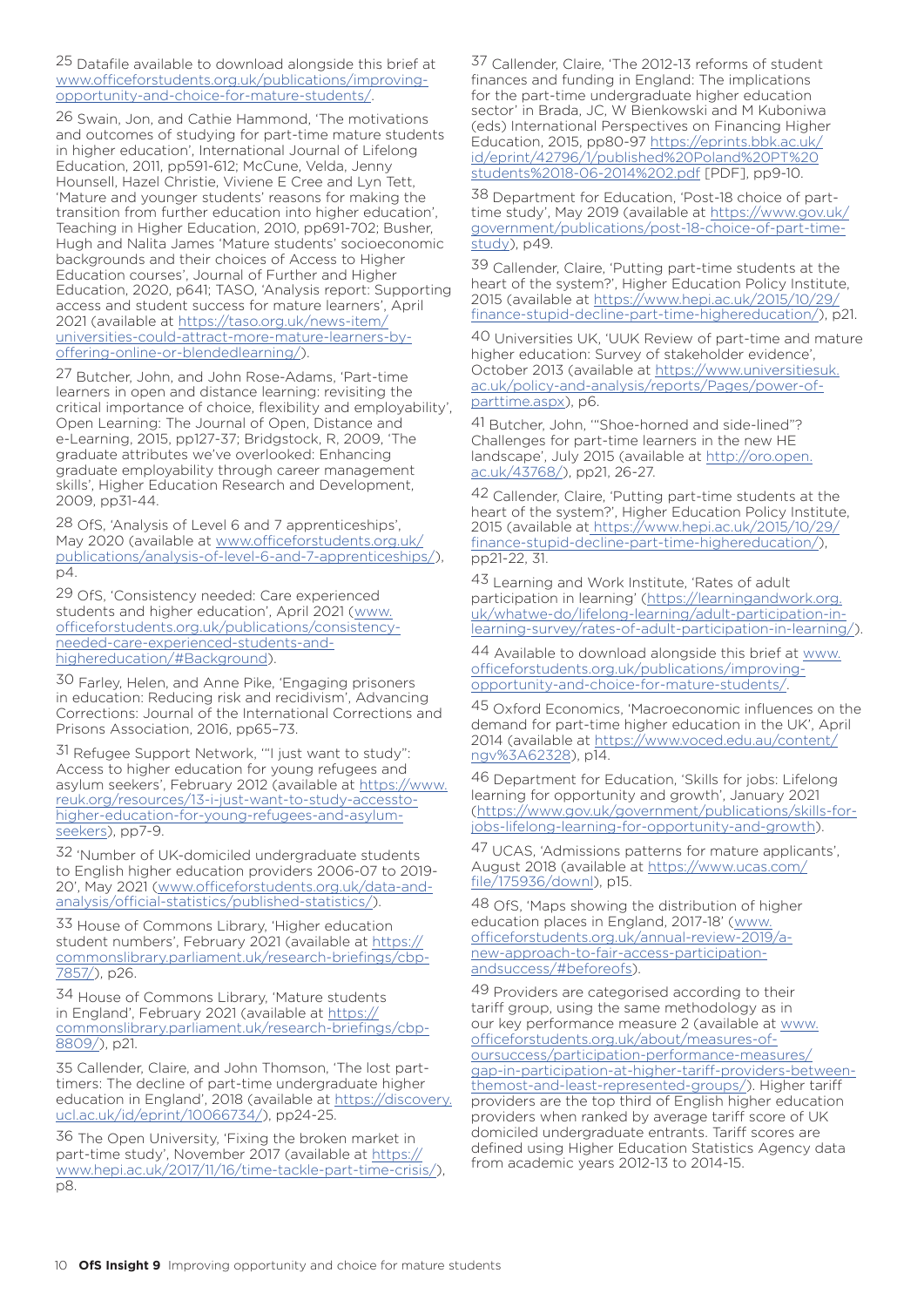25 Datafile available to download alongside this brief at [www.officeforstudents.org.uk/publications/improving](https://www.officeforstudents.org.uk/publications/improving-opportunity-and-choice-for-mature-students/)[opportunity-and-choice-for-mature-students/](https://www.officeforstudents.org.uk/publications/improving-opportunity-and-choice-for-mature-students/).

26 Swain, Jon, and Cathie Hammond, 'The motivations and outcomes of studying for part-time mature students in higher education', International Journal of Lifelong Education, 2011, pp591-612; McCune, Velda, Jenny Hounsell, Hazel Christie, Viviene E Cree and Lyn Tett, 'Mature and younger students' reasons for making the transition from further education into higher education', Teaching in Higher Education, 2010, pp691-702; Busher, Hugh and Nalita James 'Mature students' socioeconomic backgrounds and their choices of Access to Higher Education courses', Journal of Further and Higher Education, 2020, p641; TASO, 'Analysis report: Supporting access and student success for mature learners', April 2021 (available at [https://taso.org.uk/news-item/](https://taso.org.uk/news-item/universities-could-attract-more-mature-learners-by-offering-online-or-blended-learning/) [universities-could-attract-more-mature-learners-by](https://taso.org.uk/news-item/universities-could-attract-more-mature-learners-by-offering-online-or-blended-learning/)[offering-online-or-blendedlearning/\)](https://taso.org.uk/news-item/universities-could-attract-more-mature-learners-by-offering-online-or-blended-learning/).

27 Butcher, John, and John Rose-Adams, 'Part-time learners in open and distance learning: revisiting the critical importance of choice, flexibility and employability', Open Learning: The Journal of Open, Distance and e-Learning, 2015, pp127-37; Bridgstock, R, 2009, 'The graduate attributes we've overlooked: Enhancing graduate employability through career management skills', Higher Education Research and Development, 2009, pp31-44.

28 OfS, 'Analysis of Level 6 and 7 apprenticeships', May 2020 (available at [www.officeforstudents.org.uk/](https://www.officeforstudents.org.uk/publications/analysis-of-level-6-and-7-apprenticeships/) [publications/analysis-of-level-6-and-7-apprenticeships/](https://www.officeforstudents.org.uk/publications/analysis-of-level-6-and-7-apprenticeships/)), p4.

29 OfS, 'Consistency needed: Care experienced students and higher education', April 2021 [\(www.](https://www.officeforstudents.org.uk/publications/consistency-needed-care-experienced-students-and-higher-education/#Background) [officeforstudents.org.uk/publications/consistency](https://www.officeforstudents.org.uk/publications/consistency-needed-care-experienced-students-and-higher-education/#Background)[needed-care-experienced-students-and](https://www.officeforstudents.org.uk/publications/consistency-needed-care-experienced-students-and-higher-education/#Background)[highereducation/#Background](https://www.officeforstudents.org.uk/publications/consistency-needed-care-experienced-students-and-higher-education/#Background)).

30 Farley, Helen, and Anne Pike, 'Engaging prisoners in education: Reducing risk and recidivism', Advancing Corrections: Journal of the International Corrections and Prisons Association, 2016, pp65–73.

31 Refugee Support Network, '"I just want to study": Access to higher education for young refugees and asylum seekers', February 2012 (available at [https://www.](https://www.reuk.org/resources/13-i-just-want-to-study-access-to-higher-education-for-young-refugees-and-asylum-seekers) [reuk.org/resources/13-i-just-want-to-study-accessto](https://www.reuk.org/resources/13-i-just-want-to-study-access-to-higher-education-for-young-refugees-and-asylum-seekers)[higher-education-for-young-refugees-and-asylum](https://www.reuk.org/resources/13-i-just-want-to-study-access-to-higher-education-for-young-refugees-and-asylum-seekers)[seekers\)](https://www.reuk.org/resources/13-i-just-want-to-study-access-to-higher-education-for-young-refugees-and-asylum-seekers), pp7-9.

32 'Number of UK-domiciled undergraduate students to English higher education providers 2006-07 to 2019- 20', May 2021 ([www.officeforstudents.org.uk/data-and](https://www.officeforstudents.org.uk/data-and-analysis/official-statistics/published-statistics/)[analysis/official-statistics/published-statistics/](https://www.officeforstudents.org.uk/data-and-analysis/official-statistics/published-statistics/)).

33 House of Commons Library, 'Higher education student numbers', February 2021 (available at [https://](https://commonslibrary.parliament.uk/research-briefings/cbp-7857/) [commonslibrary.parliament.uk/research-briefings/cbp-](https://commonslibrary.parliament.uk/research-briefings/cbp-7857/)[7857/\)](https://commonslibrary.parliament.uk/research-briefings/cbp-7857/), p26.

34 House of Commons Library, 'Mature students in England', February 2021 (available at [https://](https://commonslibrary.parliament.uk/research-briefings/cbp-8809/) [commonslibrary.parliament.uk/research-briefings/cbp-](https://commonslibrary.parliament.uk/research-briefings/cbp-8809/)[8809/\)](https://commonslibrary.parliament.uk/research-briefings/cbp-8809/), p21.

35 Callender, Claire, and John Thomson, 'The lost parttimers: The decline of part-time undergraduate higher education in England', 2018 (available at [https://discovery.](https://discovery.ucl.ac.uk/id/eprint/10066734/) [ucl.ac.uk/id/eprint/10066734/](https://discovery.ucl.ac.uk/id/eprint/10066734/)), pp24-25.

36 The Open University, 'Fixing the broken market in part-time study', November 2017 (available at [https://](https://www.hepi.ac.uk/2017/11/16/time-tackle-part-time-crisis/) [www.hepi.ac.uk/2017/11/16/time-tackle-part-time-crisis/](https://www.hepi.ac.uk/2017/11/16/time-tackle-part-time-crisis/)), p8.

37 Callender, Claire, 'The 2012-13 reforms of student finances and funding in England: The implications for the part-time undergraduate higher education sector' in Brada, JC, W Bienkowski and M Kuboniwa (eds) International Perspectives on Financing Higher Education, 2015, pp80-97 [https://eprints.bbk.ac.uk/](https://eprints.bbk.ac.uk/id/eprint/42796/1/published%20Poland%20PT%20students%2018-06-2014%202.pdf) [id/eprint/42796/1/published%20Poland%20PT%20](https://eprints.bbk.ac.uk/id/eprint/42796/1/published%20Poland%20PT%20students%2018-06-2014%202.pdf) [students%2018-06-2014%202.pdf](https://eprints.bbk.ac.uk/id/eprint/42796/1/published%20Poland%20PT%20students%2018-06-2014%202.pdf) [PDF], pp9-10.

38 Department for Education, 'Post-18 choice of parttime study', May 2019 (available at [https://www.gov.uk/](https://www.gov.uk/government/publications/post-18-choice-of-part-time-study) [government/publications/post-18-choice-of-part-time](https://www.gov.uk/government/publications/post-18-choice-of-part-time-study)[study](https://www.gov.uk/government/publications/post-18-choice-of-part-time-study)), p49.

39 Callender, Claire, 'Putting part-time students at the heart of the system?', Higher Education Policy Institute, 2015 (available at [https://www.hepi.ac.uk/2015/10/29/](https://www.hepi.ac.uk/2015/10/29/finance-stupid-decline-part-time-higher-education/) [finance-stupid-decline-part-time-highereducation/](https://www.hepi.ac.uk/2015/10/29/finance-stupid-decline-part-time-higher-education/)), p21.

40 Universities UK, 'UUK Review of part-time and mature higher education: Survey of stakeholder evidence', October 2013 (available at [https://www.universitiesuk.](https://www.universitiesuk.ac.uk/policy-and-analysis/reports/Pages/power-of-part-time.aspx) [ac.uk/policy-and-analysis/reports/Pages/power-of](https://www.universitiesuk.ac.uk/policy-and-analysis/reports/Pages/power-of-part-time.aspx)[parttime.aspx](https://www.universitiesuk.ac.uk/policy-and-analysis/reports/Pages/power-of-part-time.aspx)), p6.

41 Butcher, John, '"Shoe-horned and side-lined"? Challenges for part-time learners in the new HE landscape', July 2015 (available at [http://oro.open.](http://oro.open.ac.uk/43768/) [ac.uk/43768/\)](http://oro.open.ac.uk/43768/), pp21, 26-27.

42 Callender, Claire, 'Putting part-time students at the heart of the system?', Higher Education Policy Institute, 2015 (available at [https://www.hepi.ac.uk/2015/10/29/](https://www.hepi.ac.uk/2015/10/29/finance-stupid-decline-part-time-higher-education/) [finance-stupid-decline-part-time-highereducation/](https://www.hepi.ac.uk/2015/10/29/finance-stupid-decline-part-time-higher-education/)), pp21-22, 31.

43 Learning and Work Institute, 'Rates of adult participation in learning' [\(https://learningandwork.org.](https://learningandwork.org.uk/what-we-do/lifelong-learning/adult-participation-in-learning-survey/rates-of-adult-participation-in-learning/) [uk/whatwe-do/lifelong-learning/adult-participation-in](https://learningandwork.org.uk/what-we-do/lifelong-learning/adult-participation-in-learning-survey/rates-of-adult-participation-in-learning/)[learning-survey/rates-of-adult-participation-in-learning/](https://learningandwork.org.uk/what-we-do/lifelong-learning/adult-participation-in-learning-survey/rates-of-adult-participation-in-learning/)).

44 Available to download alongside this brief at [www.](https://www.officeforstudents.org.uk/publications/improving-opportunity-and-choice-for-mature-students/) [officeforstudents.org.uk/publications/improving](https://www.officeforstudents.org.uk/publications/improving-opportunity-and-choice-for-mature-students/)[opportunity-and-choice-for-mature-students/.](https://www.officeforstudents.org.uk/publications/improving-opportunity-and-choice-for-mature-students/)

45 Oxford Economics, 'Macroeconomic influences on the demand for part-time higher education in the UK', April 2014 (available at [https://www.voced.edu.au/content/](https://www.voced.edu.au/content/ngv%3A62328) [ngv%3A62328](https://www.voced.edu.au/content/ngv%3A62328)), p14.

46 Department for Education, 'Skills for jobs: Lifelong learning for opportunity and growth', January 2021 ([https://www.gov.uk/government/publications/skills-for](https://www.gov.uk/government/publications/skills-for-jobs-lifelong-learning-for-opportunity-and-growth)[jobs-lifelong-learning-for-opportunity-and-growth](https://www.gov.uk/government/publications/skills-for-jobs-lifelong-learning-for-opportunity-and-growth)).

47 UCAS, 'Admissions patterns for mature applicants', August 2018 (available at [https://www.ucas.com/](https://www.ucas.com/file/175936/downl) [file/175936/downl](https://www.ucas.com/file/175936/downl)), p15.

48 OfS, 'Maps showing the distribution of higher education places in England, 2017-18' [\(www.](https://www.officeforstudents.org.uk/annual-review-2019/a-new-approach-to-fair-access-participation-and-success/#beforeofs) [officeforstudents.org.uk/annual-review-2019/a](https://www.officeforstudents.org.uk/annual-review-2019/a-new-approach-to-fair-access-participation-and-success/#beforeofs)[new-approach-to-fair-access-participation](https://www.officeforstudents.org.uk/annual-review-2019/a-new-approach-to-fair-access-participation-and-success/#beforeofs)[andsuccess/#beforeofs](https://www.officeforstudents.org.uk/annual-review-2019/a-new-approach-to-fair-access-participation-and-success/#beforeofs)).

49 Providers are categorised according to their tariff group, using the same methodology as in our key performance measure 2 (available at [www.](https://www.officeforstudents.org.uk/about/measures-of-our-success/participation-performance-measures/gap-in-participation-at-higher-tariff-providers-between-the-most-and-least-represented-groups/) [officeforstudents.org.uk/about/measures-of](https://www.officeforstudents.org.uk/about/measures-of-our-success/participation-performance-measures/gap-in-participation-at-higher-tariff-providers-between-the-most-and-least-represented-groups/)[oursuccess/participation-performance-measures/](https://www.officeforstudents.org.uk/about/measures-of-our-success/participation-performance-measures/gap-in-participation-at-higher-tariff-providers-between-the-most-and-least-represented-groups/) [gap-in-participation-at-higher-tariff-providers-between](https://www.officeforstudents.org.uk/about/measures-of-our-success/participation-performance-measures/gap-in-participation-at-higher-tariff-providers-between-the-most-and-least-represented-groups/)[themost-and-least-represented-groups/\)](https://www.officeforstudents.org.uk/about/measures-of-our-success/participation-performance-measures/gap-in-participation-at-higher-tariff-providers-between-the-most-and-least-represented-groups/). Higher tariff providers are the top third of English higher education providers when ranked by average tariff score of UK domiciled undergraduate entrants. Tariff scores are defined using Higher Education Statistics Agency data from academic years 2012-13 to 2014-15.